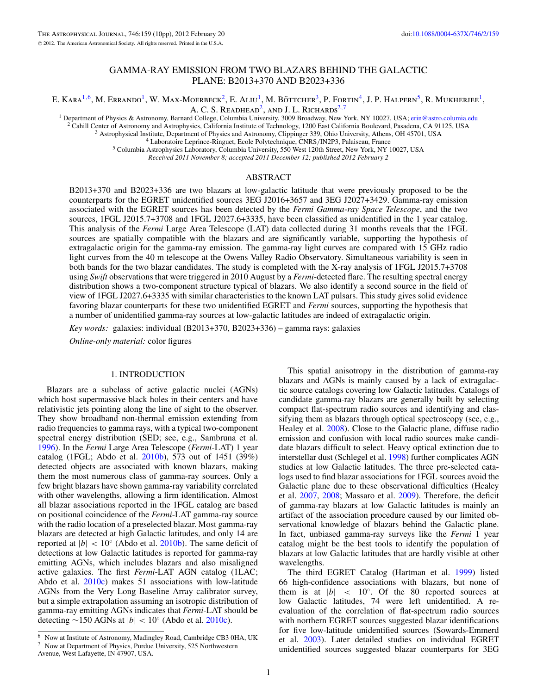## GAMMA-RAY EMISSION FROM TWO BLAZARS BEHIND THE GALACTIC PLANE: B2013+370 AND B2023+336

E. Kara<sup>1,6</sup>, M. Errando<sup>1</sup>, W. Max-Moerbeck<sup>2</sup>, E. Aliu<sup>1</sup>, M. Böttcher<sup>3</sup>, P. Fortin<sup>4</sup>, J. P. Halpern<sup>5</sup>, R. Mukherjee<sup>1</sup>,

A. C. S. READHEAD<sup>2</sup>, AND J. L. RICHARDS<sup>2,7</sup><br><sup>1</sup> Department of Physics & Astronomy, Barnard College, Columbia University, 3009 Broadway, New York, NY 10027, USA; erin@astro.columia.edu

<sup>2</sup> Cahill Center of Astronomy and Astrophysics, California Institute of Technology, 1200 East California Boulevard, Pasadena, CA 91125, USA <sup>3</sup> Astrophysical Institute, Department of Physics and Astronomy, Clippinger 339,

*Received 2011 November 8; accepted 2011 December 12; published 2012 February 2*

#### ABSTRACT

B2013+370 and B2023+336 are two blazars at low-galactic latitude that were previously proposed to be the counterparts for the EGRET unidentified sources 3EG J2016+3657 and 3EG J2027+3429. Gamma-ray emission associated with the EGRET sources has been detected by the *Fermi Gamma-ray Space Telescope*, and the two sources, 1FGL J2015.7+3708 and 1FGL J2027.6+3335, have been classified as unidentified in the 1 year catalog. This analysis of the *Fermi* Large Area Telescope (LAT) data collected during 31 months reveals that the 1FGL sources are spatially compatible with the blazars and are significantly variable, supporting the hypothesis of extragalactic origin for the gamma-ray emission. The gamma-ray light curves are compared with 15 GHz radio light curves from the 40 m telescope at the Owens Valley Radio Observatory. Simultaneous variability is seen in both bands for the two blazar candidates. The study is completed with the X-ray analysis of 1FGL J2015.7+3708 using *Swift* observations that were triggered in 2010 August by a *Fermi*-detected flare. The resulting spectral energy distribution shows a two-component structure typical of blazars. We also identify a second source in the field of view of 1FGL J2027.6+3335 with similar characteristics to the known LAT pulsars. This study gives solid evidence favoring blazar counterparts for these two unidentified EGRET and *Fermi* sources, supporting the hypothesis that a number of unidentified gamma-ray sources at low-galactic latitudes are indeed of extragalactic origin.

*Key words:* galaxies: individual (B2013+370, B2023+336) – gamma rays: galaxies

*Online-only material:* color figures

### 1. INTRODUCTION

Blazars are a subclass of active galactic nuclei (AGNs) which host supermassive black holes in their centers and have relativistic jets pointing along the line of sight to the observer. They show broadband non-thermal emission extending from radio frequencies to gamma rays, with a typical two-component spectral energy distribution (SED; see, e.g., Sambruna et al. [1996\)](#page-9-0). In the *Fermi* Large Area Telescope (*Fermi*-LAT) 1 year catalog (1FGL; Abdo et al. [2010b\)](#page-8-0), 573 out of 1451 (39%) detected objects are associated with known blazars, making them the most numerous class of gamma-ray sources. Only a few bright blazars have shown gamma-ray variability correlated with other wavelengths, allowing a firm identification. Almost all blazar associations reported in the 1FGL catalog are based on positional coincidence of the *Fermi*-LAT gamma-ray source with the radio location of a preselected blazar. Most gamma-ray blazars are detected at high Galactic latitudes, and only 14 are reported at  $|b| < 10°$  (Abdo et al. [2010b\)](#page-8-0). The same deficit of detections at low Galactic latitudes is reported for gamma-ray emitting AGNs, which includes blazars and also misaligned active galaxies. The first *Fermi*-LAT AGN catalog (1LAC; Abdo et al. [2010c\)](#page-8-0) makes 51 associations with low-latitude AGNs from the Very Long Baseline Array calibrator survey, but a simple extrapolation assuming an isotropic distribution of gamma-ray emitting AGNs indicates that *Fermi*-LAT should be detecting ∼150 AGNs at |*b*| *<* 10◦ (Abdo et al. [2010c\)](#page-8-0).

This spatial anisotropy in the distribution of gamma-ray blazars and AGNs is mainly caused by a lack of extragalactic source catalogs covering low Galactic latitudes. Catalogs of candidate gamma-ray blazars are generally built by selecting compact flat-spectrum radio sources and identifying and classifying them as blazars through optical spectroscopy (see, e.g., Healey et al. [2008\)](#page-9-0). Close to the Galactic plane, diffuse radio emission and confusion with local radio sources make candidate blazars difficult to select. Heavy optical extinction due to interstellar dust (Schlegel et al. [1998\)](#page-9-0) further complicates AGN studies at low Galactic latitudes. The three pre-selected catalogs used to find blazar associations for 1FGL sources avoid the Galactic plane due to these observational difficulties (Healey et al. [2007,](#page-9-0) [2008;](#page-9-0) Massaro et al. [2009\)](#page-9-0). Therefore, the deficit of gamma-ray blazars at low Galactic latitudes is mainly an artifact of the association procedure caused by our limited observational knowledge of blazars behind the Galactic plane. In fact, unbiased gamma-ray surveys like the *Fermi* 1 year catalog might be the best tools to identify the population of blazars at low Galactic latitudes that are hardly visible at other wavelengths.

The third EGRET Catalog (Hartman et al. [1999\)](#page-9-0) listed 66 high-confidence associations with blazars, but none of them is at  $|b| \leq 10^\circ$ . Of the 80 reported sources at low Galactic latitudes, 74 were left unidentified. A reevaluation of the correlation of flat-spectrum radio sources with northern EGRET sources suggested blazar identifications for five low-latitude unidentified sources (Sowards-Emmerd et al. [2003\)](#page-9-0). Later detailed studies on individual EGRET unidentified sources suggested blazar counterparts for 3EG

<sup>6</sup> Now at Institute of Astronomy, Madingley Road, Cambridge CB3 0HA, UK <sup>7</sup> Now at Department of Physics, Purdue University, 525 Northwestern Avenue, West Lafayette, IN 47907, USA.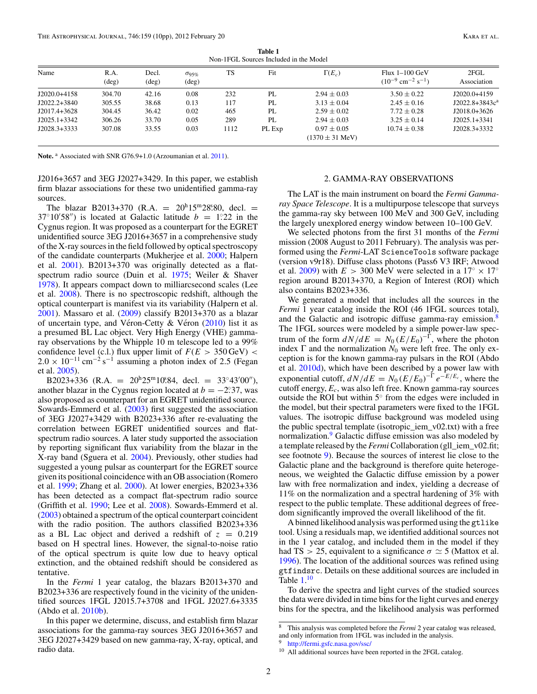**Table 1** Non-1FGL Sources Included in the Model

<span id="page-1-0"></span>

| Name           | R.A.           | Decl.          | $\sigma_{95\%}$ | TS   | Fit    | $\Gamma(E_c)$               | Flux 1–100 GeV                                | 2FGL              |
|----------------|----------------|----------------|-----------------|------|--------|-----------------------------|-----------------------------------------------|-------------------|
|                | $(\text{deg})$ | $(\text{deg})$ | $(\text{deg})$  |      |        |                             | $(10^{-9}$ cm <sup>-2</sup> s <sup>-1</sup> ) | Association       |
| $J2020.0+4158$ | 304.70         | 42.16          | 0.08            | 232  | PL     | $2.94 \pm 0.03$             | $3.50 \pm 0.22$                               | J2020.0+4159      |
| $J2022.2+3840$ | 305.55         | 38.68          | 0.13            | 117  | PL     | $3.13 \pm 0.04$             | $2.45 \pm 0.16$                               | $J2022.8+3843c^a$ |
| J2017.4+3628   | 304.45         | 36.42          | 0.02            | 465  | PL     | $2.59 \pm 0.02$             | $7.72 \pm 0.28$                               | J2018.0+3626      |
| $J2025.1+3342$ | 306.26         | 33.70          | 0.05            | 289  | PL     | $2.94 \pm 0.03$             | $3.25 \pm 0.14$                               | $J2025.1+3341$    |
| $J2028.3+3333$ | 307.08         | 33.55          | 0.03            | 1112 | PL Exp | $0.97 \pm 0.05$             | $10.74 \pm 0.38$                              | $J2028.3+3332$    |
|                |                |                |                 |      |        | $(1370 \pm 31 \text{ MeV})$ |                                               |                   |

Note.<sup>a</sup> Associated with SNR G76.9+1.0 (Arzoumanian et al. [2011\)](#page-8-0).

J2016+3657 and 3EG J2027+3429. In this paper, we establish firm blazar associations for these two unidentified gamma-ray sources.

The blazar B2013+370 (R.A. =  $20^h 15^m 28.80$ , decl. =  $37°10'58'$ ) is located at Galactic latitude  $b = 1°22$  in the Cygnus region. It was proposed as a counterpart for the EGRET unidentified source 3EG J2016+3657 in a comprehensive study of the X-ray sources in the field followed by optical spectroscopy of the candidate counterparts (Mukherjee et al. [2000;](#page-9-0) Halpern et al. [2001\)](#page-9-0). B2013+370 was originally detected as a flatspectrum radio source (Duin et al. [1975;](#page-9-0) Weiler & Shaver [1978\)](#page-9-0). It appears compact down to milliarcsecond scales (Lee et al. [2008\)](#page-9-0). There is no spectroscopic redshift, although the optical counterpart is manifest via its variability (Halpern et al. [2001\)](#page-9-0). Massaro et al. [\(2009\)](#page-9-0) classify B2013+370 as a blazar of uncertain type, and Véron-Cetty  $\&$  Véron ([2010\)](#page-9-0) list it as a presumed BL Lac object. Very High Energy (VHE) gammaray observations by the Whipple 10 m telescope led to a 99% confidence level (c.l.) flux upper limit of  $F(E > 350 \,\text{GeV})$  <  $2.0 \times 10^{-11}$  cm<sup>-2</sup> s<sup>-1</sup> assuming a photon index of 2.5 (Fegan et al. [2005\)](#page-9-0).

B2023+336 (R.A. =  $20^{\text{h}} 25^{\text{m}} 10^{\text{s}} 84$ , decl. =  $33^{\circ} 43' 00''$ ), another blazar in the Cygnus region located at  $b = -2.37$ , was also proposed as counterpart for an EGRET unidentified source. Sowards-Emmerd et al. [\(2003\)](#page-9-0) first suggested the association of 3EG J2027+3429 with B2023+336 after re-evaluating the correlation between EGRET unidentified sources and flatspectrum radio sources. A later study supported the association by reporting significant flux variability from the blazar in the X-ray band (Sguera et al. [2004\)](#page-9-0). Previously, other studies had suggested a young pulsar as counterpart for the EGRET source given its positional coincidence with an OB association (Romero et al. [1999;](#page-9-0) Zhang et al. [2000\)](#page-9-0). At lower energies, B2023+336 has been detected as a compact flat-spectrum radio source (Griffith et al. [1990;](#page-9-0) Lee et al. [2008\)](#page-9-0). Sowards-Emmerd et al. [\(2003\)](#page-9-0) obtained a spectrum of the optical counterpart coincident with the radio position. The authors classified B2023+336 as a BL Lac object and derived a redshift of  $z = 0.219$ based on H spectral lines. However, the signal-to-noise ratio of the optical spectrum is quite low due to heavy optical extinction, and the obtained redshift should be considered as tentative.

In the *Fermi* 1 year catalog, the blazars B2013+370 and B2023+336 are respectively found in the vicinity of the unidentified sources 1FGL J2015.7+3708 and 1FGL J2027.6+3335 (Abdo et al. [2010b\)](#page-8-0).

## 2. GAMMA-RAY OBSERVATIONS

The LAT is the main instrument on board the *Fermi Gammaray Space Telescope*. It is a multipurpose telescope that surveys the gamma-ray sky between 100 MeV and 300 GeV, including the largely unexplored energy window between 10–100 GeV.

We selected photons from the first 31 months of the *Fermi* mission (2008 August to 2011 February). The analysis was performed using the *Fermi*-LAT ScienceTools software package (version v9r18). Diffuse class photons (Pass6 V3 IRF; Atwood et al. [2009\)](#page-8-0) with  $E > 300$  MeV were selected in a 17°  $\times$  17° region around B2013+370, a Region of Interest (ROI) which also contains B2023+336.

We generated a model that includes all the sources in the *Fermi* 1 year catalog inside the ROI (46 1FGL sources total), and the Galactic and isotropic diffuse gamma-ray emission.<sup>8</sup> The 1FGL sources were modeled by a simple power-law spectrum of the form  $dN/dE = N_0 (E/E_0)^{-\Gamma}$ , where the photon index  $\Gamma$  and the normalization  $N_0$  were left free. The only exception is for the known gamma-ray pulsars in the ROI (Abdo et al. [2010d\)](#page-8-0), which have been described by a power law with exponential cutoff,  $dN/dE = N_0 (E/E_0)^{-\Gamma} e^{-E/E_c}$ , where the cutoff energy, *Ec*, was also left free. Known gamma-ray sources outside the ROI but within 5◦ from the edges were included in the model, but their spectral parameters were fixed to the 1FGL values. The isotropic diffuse background was modeled using the public spectral template (isotropic\_iem\_v02.txt) with a free normalization.<sup>9</sup> Galactic diffuse emission was also modeled by a template released by the *Fermi* Collaboration (gll\_iem\_v02.fit; see footnote 9). Because the sources of interest lie close to the Galactic plane and the background is therefore quite heterogeneous, we weighted the Galactic diffuse emission by a power law with free normalization and index, yielding a decrease of 11% on the normalization and a spectral hardening of 3% with respect to the public template. These additional degrees of freedom significantly improved the overall likelihood of the fit.

A binned likelihood analysis was performed using the gtlike tool. Using a residuals map, we identified additional sources not in the 1 year catalog, and included them in the model if they had TS  $> 25$ , equivalent to a significance  $\sigma \simeq 5$  (Mattox et al. [1996\)](#page-9-0). The location of the additional sources was refined using gtfindsrc. Details on these additional sources are included in Table  $1.^{10}$ 

To derive the spectra and light curves of the studied sources the data were divided in time bins for the light curves and energy bins for the spectra, and the likelihood analysis was performed

In this paper we determine, discuss, and establish firm blazar associations for the gamma-ray sources 3EG J2016+3657 and 3EG J2027+3429 based on new gamma-ray, X-ray, optical, and radio data.

<sup>8</sup> This analysis was completed before the *Fermi* 2 year catalog was released, and only information from 1FGL was included in the analysis.

<http://fermi.gsfc.nasa.gov/ssc/>

<sup>&</sup>lt;sup>10</sup> All additional sources have been reported in the 2FGL catalog.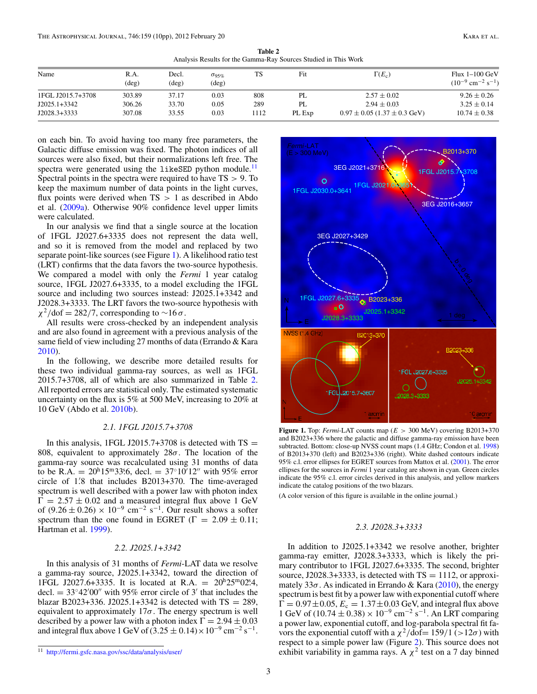**Table 2** Analysis Results for the Gamma-Ray Sources Studied in This Work

<span id="page-2-0"></span>

| Name              | R.A.<br>$(\text{deg})$ | Decl.<br>$(\deg)$ | $\sigma_{95\%}$<br>$(\deg)$ | TS   | Fit    | $\Gamma(E_c)$                        | Flux 1–100 GeV<br>$(10^{-9}$ cm <sup>-2</sup> s <sup>-1</sup> ) |
|-------------------|------------------------|-------------------|-----------------------------|------|--------|--------------------------------------|-----------------------------------------------------------------|
| 1FGL J2015.7+3708 | 303.89                 | 37.17             | 0.03                        | 808  | PL     | $2.57 \pm 0.02$                      | $9.26 \pm 0.26$                                                 |
| $J2025.1+3342$    | 306.26                 | 33.70             | 0.05                        | 289  | PL.    | $2.94 \pm 0.03$                      | $3.25 \pm 0.14$                                                 |
| $J2028.3+3333$    | 307.08                 | 33.55             | 0.03                        | 1112 | PL Exp | $0.97 \pm 0.05$ (1.37 $\pm$ 0.3 GeV) | $10.74 \pm 0.38$                                                |

on each bin. To avoid having too many free parameters, the Galactic diffuse emission was fixed. The photon indices of all sources were also fixed, but their normalizations left free. The spectra were generated using the likeSED python module.<sup>11</sup> Spectral points in the spectra were required to have TS *>* 9. To keep the maximum number of data points in the light curves, flux points were derived when TS *>* 1 as described in Abdo et al. [\(2009a\)](#page-8-0). Otherwise 90% confidence level upper limits were calculated.

In our analysis we find that a single source at the location of 1FGL J2027.6+3335 does not represent the data well, and so it is removed from the model and replaced by two separate point-like sources (see Figure 1). A likelihood ratio test (LRT) confirms that the data favors the two-source hypothesis. We compared a model with only the *Fermi* 1 year catalog source, 1FGL J2027.6+3335, to a model excluding the 1FGL source and including two sources instead: J2025.1+3342 and J2028.3+3333. The LRT favors the two-source hypothesis with  $\chi^2$ /dof = 282/7, corresponding to ~16 *σ*.

All results were cross-checked by an independent analysis and are also found in agreement with a previous analysis of the same field of view including 27 months of data (Errando & Kara [2010\)](#page-9-0).

In the following, we describe more detailed results for these two individual gamma-ray sources, as well as 1FGL 2015.7+3708, all of which are also summarized in Table 2. All reported errors are statistical only. The estimated systematic uncertainty on the flux is 5% at 500 MeV, increasing to 20% at 10 GeV (Abdo et al. [2010b\)](#page-8-0).

#### *2.1. 1FGL J2015.7+3708*

In this analysis, 1FGL J2015.7+3708 is detected with  $TS =$ 808, equivalent to approximately 28*σ*. The location of the gamma-ray source was recalculated using 31 months of data to be R.A. =  $20^{\text{h}}15^{\text{m}}33^{\text{s}}6$ , decl. =  $37^{\circ}10'12''$  with 95% error circle of 1.<sup>2</sup> that includes B2013+370. The time-averaged spectrum is well described with a power law with photon index  $\overline{\Gamma} = 2.57 \pm 0.02$  and a measured integral flux above 1 GeV of  $(9.26 \pm 0.26) \times 10^{-9}$  cm<sup>-2</sup> s<sup>-1</sup>. Our result shows a softer spectrum than the one found in EGRET ( $\Gamma = 2.09 \pm 0.11$ ; Hartman et al. [1999\)](#page-9-0).

## *2.2. J2025.1+3342*

In this analysis of 31 months of *Fermi*-LAT data we resolve a gamma-ray source, J2025.1+3342, toward the direction of 1FGL J2027.6+3335. It is located at R.A. =  $20^{\text{h}}25^{\text{m}}02^{\text{s}}4$ , decl.  $= 33°42'00''$  with 95% error circle of 3' that includes the blazar B2023+336. J2025.1+3342 is detected with  $TS = 289$ , equivalent to approximately  $17\sigma$ . The energy spectrum is well described by a power law with a photon index  $\Gamma = 2.94 \pm 0.03$ and integral flux above 1 GeV of  $(3.25 \pm 0.14) \times 10^{-9}$  cm<sup>-2</sup> s<sup>-1</sup>.



**Figure 1.** Top: *Fermi*-LAT counts map (*E >* 300 MeV) covering B2013+370 and B2023+336 where the galactic and diffuse gamma-ray emission have been subtracted. Bottom: close-up NVSS count maps (1.4 GHz; Condon et al. [1998\)](#page-8-0) of B2013+370 (left) and B2023+336 (right). White dashed contours indicate 95% c.l. error ellipses for EGRET sources from Mattox et al. [\(2001\)](#page-9-0). The error ellipses for the sources in *Fermi* 1 year catalog are shown in cyan. Green circles indicate the 95% c.l. error circles derived in this analysis, and yellow markers indicate the catalog positions of the two blazars.

(A color version of this figure is available in the online journal.)

#### *2.3. J2028.3+3333*

In addition to J2025.1+3342 we resolve another, brighter gamma-ray emitter, J2028.3+3333, which is likely the primary contributor to 1FGL J2027.6+3335. The second, brighter source, J2028.3+3333, is detected with  $TS = 1112$ , or approximately 33*σ*. As indicated in Errando & Kara [\(2010\)](#page-9-0), the energy spectrum is best fit by a power law with exponential cutoff where  $\Gamma = 0.97 \pm 0.05$ ,  $E_c = 1.37 \pm 0.03$  GeV, and integral flux above 1 GeV of  $(10.74 \pm 0.38) \times 10^{-9}$  cm<sup>-2</sup> s<sup>-1</sup>. An LRT comparing a power law, exponential cutoff, and log-parabola spectral fit favors the exponential cutoff with a  $\chi^2$ /dof= 159/1 (>12*σ*) with respect to a simple power law (Figure [2\)](#page-3-0). This source does not exhibit variability in gamma rays. A  $\chi^2$  test on a 7 day binned

<sup>11</sup> <http://fermi.gsfc.nasa.gov/ssc/data/analysis/user/>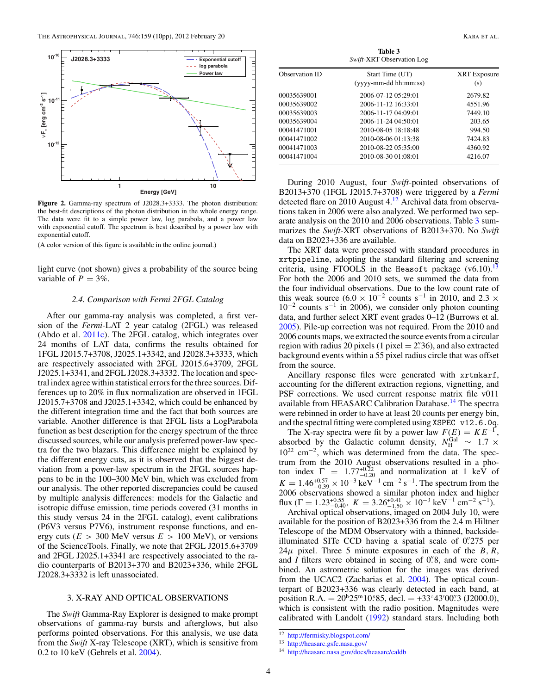<span id="page-3-0"></span>

**Figure 2.** Gamma-ray spectrum of J2028.3+3333. The photon distribution: the best-fit descriptions of the photon distribution in the whole energy range. The data were fit to a simple power law, log parabola, and a power law with exponential cutoff. The spectrum is best described by a power law with exponential cutoff.

(A color version of this figure is available in the online journal.)

light curve (not shown) gives a probability of the source being variable of  $P = 3\%$ .

#### *2.4. Comparison with Fermi 2FGL Catalog*

After our gamma-ray analysis was completed, a first version of the *Fermi*-LAT 2 year catalog (2FGL) was released (Abdo et al. [2011c\)](#page-8-0). The 2FGL catalog, which integrates over 24 months of LAT data, confirms the results obtained for 1FGL J2015.7+3708, J2025.1+3342, and J2028.3+3333, which are respectively associated with 2FGL J2015.6+3709, 2FGL J2025.1+3341, and 2FGL J2028.3+3332. The location and spectral index agree within statistical errors for the three sources. Differences up to 20% in flux normalization are observed in 1FGL J2015.7+3708 and J2025.1+3342, which could be enhanced by the different integration time and the fact that both sources are variable. Another difference is that 2FGL lists a LogParabola function as best description for the energy spectrum of the three discussed sources, while our analysis preferred power-law spectra for the two blazars. This difference might be explained by the different energy cuts, as it is observed that the biggest deviation from a power-law spectrum in the 2FGL sources happens to be in the 100–300 MeV bin, which was excluded from our analysis. The other reported discrepancies could be caused by multiple analysis differences: models for the Galactic and isotropic diffuse emission, time periods covered (31 months in this study versus 24 in the 2FGL catalog), event calibrations (P6V3 versus P7V6), instrument response functions, and energy cuts ( $E > 300$  MeV versus  $E > 100$  MeV), or versions of the ScienceTools. Finally, we note that 2FGL J2015.6+3709 and 2FGL J2025.1+3341 are respectively associated to the radio counterparts of B2013+370 and B2023+336, while 2FGL J2028.3+3332 is left unassociated.

## 3. X-RAY AND OPTICAL OBSERVATIONS

The *Swift* Gamma-Ray Explorer is designed to make prompt observations of gamma-ray bursts and afterglows, but also performs pointed observations. For this analysis, we use data from the *Swift* X-ray Telescope (XRT), which is sensitive from 0.2 to 10 keV (Gehrels et al. [2004\)](#page-9-0).

**Table 3** *Swift*-XRT Observation Log

| Observation ID | Start Time (UT)<br>(yyyy-mm-dd hh:mm:ss) | <b>XRT</b> Exposure<br>(s) |  |
|----------------|------------------------------------------|----------------------------|--|
| 00035639001    | 2006-07-12 05:29:01                      | 2679.82                    |  |
| 00035639002    | 2006-11-12 16:33:01                      | 4551.96                    |  |
| 00035639003    | 2006-11-17 04:09:01                      | 7449.10                    |  |
| 00035639004    | 2006-11-24 04:50:01                      | 203.65                     |  |
| 00041471001    | 2010-08-05 18:18:48                      | 994.50                     |  |
| 00041471002    | 2010-08-06 01:13:38                      | 7424.83                    |  |
| 00041471003    | 2010-08-22 05:35:00                      | 4360.92                    |  |
| 00041471004    | 2010-08-30 01:08:01                      | 4216.07                    |  |

During 2010 August, four *Swift*-pointed observations of B2013+370 (1FGL J2015.7+3708) were triggered by a *Fermi* detected flare on 2010 August 4.<sup>12</sup> Archival data from observations taken in 2006 were also analyzed. We performed two separate analysis on the 2010 and 2006 observations. Table 3 summarizes the *Swift*-XRT observations of B2013+370. No *Swift* data on B2023+336 are available.

The XRT data were processed with standard procedures in xrtpipeline, adopting the standard filtering and screening criteria, using FTOOLS in the Heasoft package  $(v6.10)$ .<sup>13</sup> For both the 2006 and 2010 sets, we summed the data from the four individual observations. Due to the low count rate of this weak source (6.0 × 10<sup>-2</sup> counts s<sup>-1</sup> in 2010, and 2.3 ×  $10^{-2}$  counts s<sup>-1</sup> in 2006), we consider only photon counting data, and further select XRT event grades 0–12 (Burrows et al. [2005\)](#page-8-0). Pile-up correction was not required. From the 2010 and 2006 counts maps, we extracted the source events from a circular region with radius 20 pixels  $(1 \text{ pixel} = 2$ . 36), and also extracted background events within a 55 pixel radius circle that was offset from the source.

Ancillary response files were generated with xrtmkarf, accounting for the different extraction regions, vignetting, and PSF corrections. We used current response matrix file v011 available from HEASARC Calibration Database.<sup>14</sup> The spectra were rebinned in order to have at least 20 counts per energy bin, and the spectral fitting were completed using XSPEC v12.6.0q.

The X-ray spectra were fit by a power law  $F(E) = KE^{-\Gamma}$ , absorbed by the Galactic column density,  $N_{\rm H}^{\rm Gal} \sim 1.7 \times$ 1022 cm−2, which was determined from the data. The spectrum from the 2010 August observations resulted in a photon index  $\Gamma = 1.77^{+0.22}_{-0.20}$  and normalization at 1 keV of  $K = 1.46_{-0.39}^{+0.57} \times 10^{-3}$  keV<sup>-1</sup> cm<sup>-2</sup> s<sup>-1</sup>. The spectrum from the 2006 observations showed a similar photon index and higher flux  $(\Gamma = 1.23_{-0.40}^{+0.55}, K = 3.26_{-1.50}^{+0.41} \times 10^{-3} \text{ keV}^{-1} \text{ cm}^{-2} \text{ s}^{-1})$ .

Archival optical observations, imaged on 2004 July 10, were available for the position of B2023+336 from the 2.4 m Hiltner Telescope of the MDM Observatory with a thinned, backsideilluminated SITe CCD having a spatial scale of 0*.* 275 per  $24\mu$  pixel. Three 5 minute exposures in each of the *B*, *R*, and *I* filters were obtained in seeing of 0*.* 8, and were combined. An astrometric solution for the images was derived from the UCAC2 (Zacharias et al. [2004\)](#page-9-0). The optical counterpart of B2023+336 was clearly detected in each band, at position R.A. =  $20^{\text{h}}25^{\text{m}}10.85$ , decl. =  $+33^{\circ}43'00''3$  (J2000.0), which is consistent with the radio position. Magnitudes were calibrated with Landolt [\(1992\)](#page-9-0) standard stars. Including both

<sup>12</sup> <http://fermisky.blogspot.com/>

<sup>13</sup> <http://heasarc.gsfc.nasa.gov/>

<sup>14</sup> <http://heasarc.nasa.gov/docs/heasarc/caldb>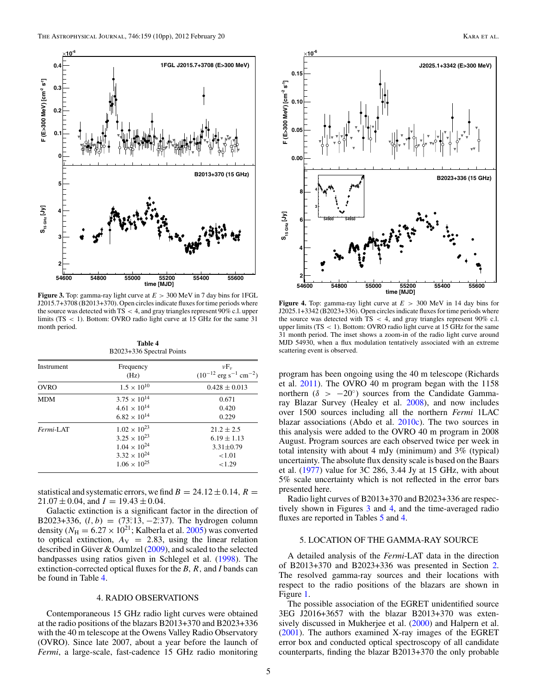<span id="page-4-0"></span>

**Figure 3.** Top: gamma-ray light curve at *E >* 300 MeV in 7 day bins for 1FGL J2015.7+3708 (B2013+370). Open circles indicate fluxes for time periods where the source was detected with TS *<* 4, and gray triangles represent 90% c.l. upper limits (TS *<* 1). Bottom: OVRO radio light curve at 15 GHz for the same 31 month period.

**Table 4** B2023+336 Spectral Points

| Instrument  | Frequency<br>(Hz)     | $\nu F_{\nu}$<br>$(10^{-12} \text{ erg s}^{-1} \text{ cm}^{-2})$ |
|-------------|-----------------------|------------------------------------------------------------------|
| <b>OVRO</b> | $1.5 \times 10^{10}$  | $0.428 \pm 0.013$                                                |
| <b>MDM</b>  | $3.75 \times 10^{14}$ | 0.671                                                            |
|             | $4.61 \times 10^{14}$ | 0.420                                                            |
|             | $6.82 \times 10^{14}$ | 0.229                                                            |
| Fermi-LAT   | $1.02 \times 10^{23}$ | $21.2 \pm 2.5$                                                   |
|             | $3.25 \times 10^{23}$ | $6.19 \pm 1.13$                                                  |
|             | $1.04 \times 10^{24}$ | $3.31 \pm 0.79$                                                  |
|             | $3.32 \times 10^{24}$ | < 1.01                                                           |
|             | $1.06 \times 10^{25}$ | < 1.29                                                           |

statistical and systematic errors, we find  $B = 24.12 \pm 0.14$ ,  $R =$  $21.07 \pm 0.04$ , and  $I = 19.43 \pm 0.04$ .

Galactic extinction is a significant factor in the direction of B2023+336,  $(l, b) = (73.13, -2.37)$ . The hydrogen column density ( $N_{\text{H}} = 6.27 \times 10^{21}$ ; Kalberla et al. [2005\)](#page-9-0) was converted to optical extinction,  $A_V = 2.83$ , using the linear relation described in Güver & Oumlzel  $(2009)$  $(2009)$ , and scaled to the selected bandpasses using ratios given in Schlegel et al. [\(1998\)](#page-9-0). The extinction-corrected optical fluxes for the *B*, *R,* and *I* bands can be found in Table 4.

## 4. RADIO OBSERVATIONS

Contemporaneous 15 GHz radio light curves were obtained at the radio positions of the blazars B2013+370 and B2023+336 with the 40 m telescope at the Owens Valley Radio Observatory (OVRO). Since late 2007, about a year before the launch of *Fermi*, a large-scale, fast-cadence 15 GHz radio monitoring



**Figure 4.** Top: gamma-ray light curve at  $E > 300$  MeV in 14 day bins for J2025.1+3342 (B2023+336). Open circles indicate fluxes for time periods where the source was detected with TS *<* 4, and gray triangles represent 90% c.l. upper limits (TS *<* 1). Bottom: OVRO radio light curve at 15 GHz for the same 31 month period. The inset shows a zoom-in of the radio light curve around MJD 54930, when a flux modulation tentatively associated with an extreme scattering event is observed.

program has been ongoing using the 40 m telescope (Richards et al. [2011\)](#page-9-0). The OVRO 40 m program began with the 1158 northern (*δ >* −20◦) sources from the Candidate Gammaray Blazar Survey (Healey et al. [2008\)](#page-9-0), and now includes over 1500 sources including all the northern *Fermi* 1LAC blazar associations (Abdo et al. [2010c\)](#page-8-0). The two sources in this analysis were added to the OVRO 40 m program in 2008 August. Program sources are each observed twice per week in total intensity with about 4 mJy (minimum) and 3% (typical) uncertainty. The absolute flux density scale is based on the Baars et al. [\(1977\)](#page-8-0) value for 3C 286, 3.44 Jy at 15 GHz, with about 5% scale uncertainty which is not reflected in the error bars presented here.

Radio light curves of B2013+370 and B2023+336 are respectively shown in Figures 3 and 4, and the time-averaged radio fluxes are reported in Tables [5](#page-5-0) and 4.

# 5. LOCATION OF THE GAMMA-RAY SOURCE

A detailed analysis of the *Fermi*-LAT data in the direction of B2013+370 and B2023+336 was presented in Section [2.](#page-1-0) The resolved gamma-ray sources and their locations with respect to the radio positions of the blazars are shown in Figure [1.](#page-2-0)

The possible association of the EGRET unidentified source 3EG J2016+3657 with the blazar B2013+370 was exten-sively discussed in Mukherjee et al. [\(2000\)](#page-9-0) and Halpern et al. [\(2001\)](#page-9-0). The authors examined X-ray images of the EGRET error box and conducted optical spectroscopy of all candidate counterparts, finding the blazar B2013+370 the only probable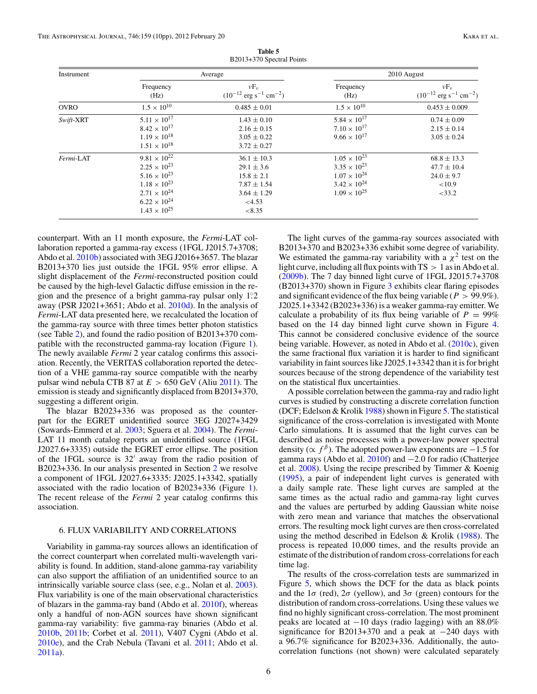<span id="page-5-0"></span>

| Instrument  |                       | Average                                                          | 2010 August           |                                                                  |  |
|-------------|-----------------------|------------------------------------------------------------------|-----------------------|------------------------------------------------------------------|--|
|             | Frequency<br>(Hz)     | $\nu F_{\nu}$<br>$(10^{-12} \text{ erg s}^{-1} \text{ cm}^{-2})$ | Frequency<br>(Hz)     | $\nu F_{\nu}$<br>$(10^{-12} \text{ erg s}^{-1} \text{ cm}^{-2})$ |  |
| <b>OVRO</b> | $1.5 \times 10^{10}$  | $0.485 \pm 0.01$                                                 | $1.5 \times 10^{10}$  | $0.453 \pm 0.009$                                                |  |
| Swift-XRT   | $5.11 \times 10^{17}$ | $1.43 \pm 0.10$                                                  | $5.84 \times 10^{17}$ | $0.74 \pm 0.09$                                                  |  |
|             | $8.42 \times 10^{17}$ | $2.16 \pm 0.15$                                                  | $7.10 \times 10^{17}$ | $2.15 \pm 0.14$                                                  |  |
|             | $1.19 \times 10^{18}$ | $3.05 \pm 0.22$                                                  | $9.66 \times 10^{17}$ | $3.05 \pm 0.24$                                                  |  |
|             | $1.51 \times 10^{18}$ | $3.72 \pm 0.27$                                                  |                       |                                                                  |  |
| Fermi-LAT   | $9.81 \times 10^{22}$ | $36.1 \pm 10.3$                                                  | $1.05 \times 10^{23}$ | $68.8 \pm 13.3$                                                  |  |
|             | $2.25 \times 10^{23}$ | $29.1 \pm 3.6$                                                   | $3.35 \times 10^{23}$ | $47.7 \pm 10.4$                                                  |  |
|             | $5.16 \times 10^{23}$ | $15.8 \pm 2.1$                                                   | $1.07 \times 10^{24}$ | $24.0 \pm 9.7$                                                   |  |
|             | $1.18 \times 10^{23}$ | $7.87 \pm 1.54$                                                  | $3.42 \times 10^{24}$ | < 10.9                                                           |  |
|             | $2.71 \times 10^{24}$ | $3.64 \pm 1.29$                                                  | $1.09 \times 10^{25}$ | $<$ 33.2                                                         |  |
|             | $6.22 \times 10^{24}$ | < 4.53                                                           |                       |                                                                  |  |
|             | $1.43 \times 10^{25}$ | < 8.35                                                           |                       |                                                                  |  |

**Table 5** B2013+370 Spectral Points

counterpart. With an 11 month exposure, the *Fermi*-LAT collaboration reported a gamma-ray excess (1FGL J2015.7+3708; Abdo et al. [2010b\)](#page-8-0) associated with 3EG J2016+3657. The blazar B2013+370 lies just outside the 1FGL 95% error ellipse. A slight displacement of the *Fermi*-reconstructed position could be caused by the high-level Galactic diffuse emission in the region and the presence of a bright gamma-ray pulsar only 1<sup>2</sup>. away (PSR J2021+3651; Abdo et al. [2010d\)](#page-8-0). In the analysis of *Fermi*-LAT data presented here, we recalculated the location of the gamma-ray source with three times better photon statistics (see Table [2\)](#page-2-0), and found the radio position of B2013+370 compatible with the reconstructed gamma-ray location (Figure [1\)](#page-2-0). The newly available *Fermi* 2 year catalog confirms this association. Recently, the VERITAS collaboration reported the detection of a VHE gamma-ray source compatible with the nearby pulsar wind nebula CTB 87 at  $E > 650$  GeV (Aliu [2011\)](#page-8-0). The emission is steady and significantly displaced from B2013+370, suggesting a different origin.

The blazar B2023+336 was proposed as the counterpart for the EGRET unidentified source 3EG J2027+3429 (Sowards-Emmerd et al. [2003;](#page-9-0) Sguera et al. [2004\)](#page-9-0). The *Fermi*-LAT 11 month catalog reports an unidentified source (1FGL J2027.6+3335) outside the EGRET error ellipse. The position of the 1FGL source is 32 away from the radio position of B2023+336. In our analysis presented in Section [2](#page-1-0) we resolve a component of 1FGL J2027.6+3335: J2025.1+3342, spatially associated with the radio location of B2023+336 (Figure [1\)](#page-2-0). The recent release of the *Fermi* 2 year catalog confirms this association.

#### 6. FLUX VARIABILITY AND CORRELATIONS

Variability in gamma-ray sources allows an identification of the correct counterpart when correlated multi-wavelength variability is found. In addition, stand-alone gamma-ray variability can also support the affiliation of an unidentified source to an intrinsically variable source class (see, e.g., Nolan et al. [2003\)](#page-9-0). Flux variability is one of the main observational characteristics of blazars in the gamma-ray band (Abdo et al. [2010f\)](#page-8-0), whereas only a handful of non-AGN sources have shown significant gamma-ray variability: five gamma-ray binaries (Abdo et al. [2010b,](#page-8-0) [2011b;](#page-8-0) Corbet et al. [2011\)](#page-8-0), V407 Cygni (Abdo et al. [2010e\)](#page-8-0), and the Crab Nebula (Tavani et al. [2011;](#page-9-0) Abdo et al. [2011a\)](#page-8-0).

The light curves of the gamma-ray sources associated with B2013+370 and B2023+336 exhibit some degree of variability. We estimated the gamma-ray variability with a  $\chi^2$  test on the light curve, including all flux points with TS *>* 1 as in Abdo et al. [\(2009b\)](#page-8-0). The 7 day binned light curve of 1FGL J2015.7+3708 (B2013+370) shown in Figure [3](#page-4-0) exhibits clear flaring episodes and significant evidence of the flux being variable ( $P > 99.9\%$ ). J2025.1+3342 (B2023+336) is a weaker gamma-ray emitter. We calculate a probability of its flux being variable of  $P = 99\%$ based on the 14 day binned light curve shown in Figure [4.](#page-4-0) This cannot be considered conclusive evidence of the source being variable. However, as noted in Abdo et al. [\(2010c\)](#page-8-0), given the same fractional flux variation it is harder to find significant variability in faint sources like J2025.1+3342 than it is for bright sources because of the strong dependence of the variability test on the statistical flux uncertainties.

A possible correlation between the gamma-ray and radio light curves is studied by constructing a discrete correlation function (DCF; Edelson  $&$  Krolik [1988\)](#page-9-0) shown in Figure [5.](#page-6-0) The statistical significance of the cross-correlation is investigated with Monte Carlo simulations. It is assumed that the light curves can be described as noise processes with a power-law power spectral density ( $\propto f^{\beta}$ ). The adopted power-law exponents are  $-1.5$  for gamma rays (Abdo et al. [2010f\)](#page-8-0) and −2.0 for radio (Chatterjee et al. [2008\)](#page-8-0). Using the recipe prescribed by Timmer & Koenig [\(1995\)](#page-9-0), a pair of independent light curves is generated with a daily sample rate. These light curves are sampled at the same times as the actual radio and gamma-ray light curves and the values are perturbed by adding Gaussian white noise with zero mean and variance that matches the observational errors. The resulting mock light curves are then cross-correlated using the method described in Edelson & Krolik [\(1988\)](#page-9-0). The process is repeated 10,000 times, and the results provide an estimate of the distribution of random cross-correlations for each time lag.

The results of the cross-correlation tests are summarized in Figure [5,](#page-6-0) which shows the DCF for the data as black points and the  $1\sigma$  (red),  $2\sigma$  (yellow), and  $3\sigma$  (green) contours for the distribution of random cross-correlations. Using these values we find no highly significant cross-correlation. The most prominent peaks are located at −10 days (radio lagging) with an 88.0% significance for B2013+370 and a peak at −240 days with a 96.7% significance for B2023+336. Additionally, the autocorrelation functions (not shown) were calculated separately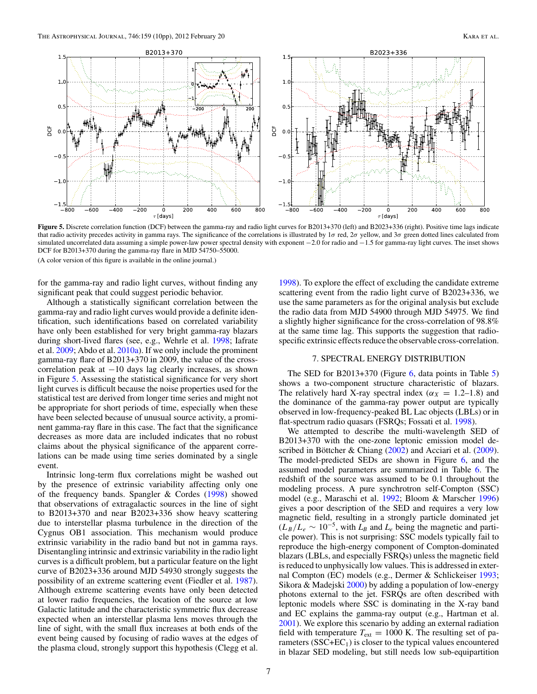<span id="page-6-0"></span>

**Figure 5.** Discrete correlation function (DCF) between the gamma-ray and radio light curves for B2013+370 (left) and B2023+336 (right). Positive time lags indicate that radio activity precedes activity in gamma rays. The significance of the correlations is illustrated by 1*σ* red, 2*σ* yellow, and 3*σ* green dotted lines calculated from simulated uncorrelated data assuming a simple power-law power spectral density with exponent −2.0 for radio and −1.5 for gamma-ray light curves. The inset shows DCF for B2013+370 during the gamma-ray flare in MJD 54750–55000.

(A color version of this figure is available in the online journal.)

for the gamma-ray and radio light curves, without finding any significant peak that could suggest periodic behavior.

Although a statistically significant correlation between the gamma-ray and radio light curves would provide a definite identification, such identifications based on correlated variability have only been established for very bright gamma-ray blazars during short-lived flares (see, e.g., Wehrle et al. [1998;](#page-9-0) Iafrate et al. [2009;](#page-9-0) Abdo et al. [2010a\)](#page-8-0). If we only include the prominent gamma-ray flare of B2013+370 in 2009, the value of the crosscorrelation peak at −10 days lag clearly increases, as shown in Figure 5. Assessing the statistical significance for very short light curves is difficult because the noise properties used for the statistical test are derived from longer time series and might not be appropriate for short periods of time, especially when these have been selected because of unusual source activity, a prominent gamma-ray flare in this case. The fact that the significance decreases as more data are included indicates that no robust claims about the physical significance of the apparent correlations can be made using time series dominated by a single event.

Intrinsic long-term flux correlations might be washed out by the presence of extrinsic variability affecting only one of the frequency bands. Spangler  $&$  Cordes [\(1998\)](#page-9-0) showed that observations of extragalactic sources in the line of sight to B2013+370 and near B2023+336 show heavy scattering due to interstellar plasma turbulence in the direction of the Cygnus OB1 association. This mechanism would produce extrinsic variability in the radio band but not in gamma rays. Disentangling intrinsic and extrinsic variability in the radio light curves is a difficult problem, but a particular feature on the light curve of B2023+336 around MJD 54930 strongly suggests the possibility of an extreme scattering event (Fiedler et al. [1987\)](#page-9-0). Although extreme scattering events have only been detected at lower radio frequencies, the location of the source at low Galactic latitude and the characteristic symmetric flux decrease expected when an interstellar plasma lens moves through the line of sight, with the small flux increases at both ends of the event being caused by focusing of radio waves at the edges of the plasma cloud, strongly support this hypothesis (Clegg et al.

[1998\)](#page-8-0). To explore the effect of excluding the candidate extreme scattering event from the radio light curve of B2023+336, we use the same parameters as for the original analysis but exclude the radio data from MJD 54900 through MJD 54975. We find a slightly higher significance for the cross-correlation of 98.8% at the same time lag. This supports the suggestion that radiospecific extrinsic effects reduce the observable cross-correlation.

#### 7. SPECTRAL ENERGY DISTRIBUTION

The SED for B2013+370 (Figure [6,](#page-7-0) data points in Table [5\)](#page-5-0) shows a two-component structure characteristic of blazars. The relatively hard X-ray spectral index ( $\alpha_X = 1.2{\text -}1.8$ ) and the dominance of the gamma-ray power output are typically observed in low-frequency-peaked BL Lac objects (LBLs) or in flat-spectrum radio quasars (FSRQs; Fossati et al. [1998\)](#page-9-0).

We attempted to describe the multi-wavelength SED of B2013+370 with the one-zone leptonic emission model described in Böttcher & Chiang  $(2002)$  $(2002)$  and Acciari et al.  $(2009)$ . The model-predicted SEDs are shown in Figure [6,](#page-7-0) and the assumed model parameters are summarized in Table [6.](#page-7-0) The redshift of the source was assumed to be 0.1 throughout the modeling process. A pure synchrotron self-Compton (SSC) model (e.g., Maraschi et al. [1992;](#page-9-0) Bloom & Marscher [1996\)](#page-8-0) gives a poor description of the SED and requires a very low magnetic field, resulting in a strongly particle dominated jet  $(L_B/L_e \sim 10^{-5}$ , with  $L_B$  and  $L_e$  being the magnetic and particle power). This is not surprising: SSC models typically fail to reproduce the high-energy component of Compton-dominated blazars (LBLs, and especially FSRQs) unless the magnetic field is reduced to unphysically low values. This is addressed in external Compton (EC) models (e.g., Dermer & Schlickeiser [1993;](#page-8-0) Sikora & Madejski [2000\)](#page-9-0) by adding a population of low-energy photons external to the jet. FSRQs are often described with leptonic models where SSC is dominating in the X-ray band and EC explains the gamma-ray output (e.g., Hartman et al. [2001\)](#page-9-0). We explore this scenario by adding an external radiation field with temperature  $T_{ext} = 1000$  K. The resulting set of parameters  $(SSC+EC<sub>1</sub>)$  is closer to the typical values encountered in blazar SED modeling, but still needs low sub-equipartition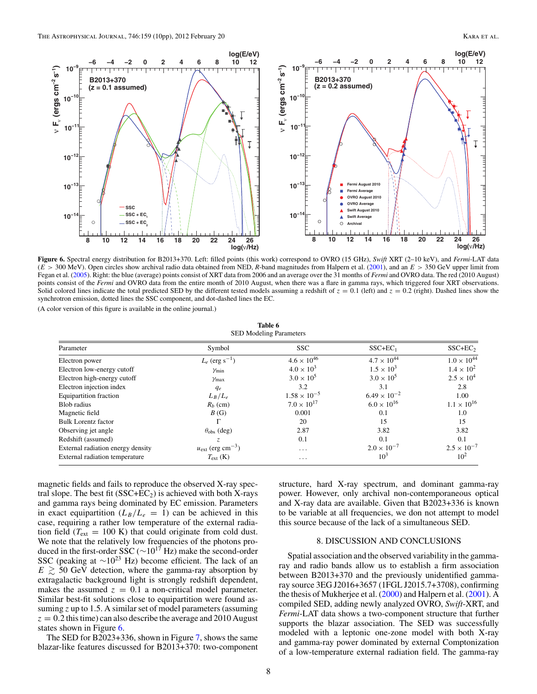<span id="page-7-0"></span>

**Figure 6.** Spectral energy distribution for B2013+370. Left: filled points (this work) correspond to OVRO (15 GHz), *Swift* XRT (2–10 keV), and *Fermi*-LAT data (*E >* 300 MeV). Open circles show archival radio data obtained from NED, *R*-band magnitudes from Halpern et al. [\(2001\)](#page-9-0), and an *E >* 350 GeV upper limit from Fegan et al. [\(2005\)](#page-9-0). Right: the blue (average) points consist of XRT data from 2006 and an average over the 31 months of *Fermi* and OVRO data. The red (2010 August) points consist of the *Fermi* and OVRO data from the entire month of 2010 August, when there was a flare in gamma rays, which triggered four XRT observations. Solid colored lines indicate the total predicted SED by the different tested models assuming a redshift of  $z = 0.1$  (left) and  $z = 0.2$  (right). Dashed lines show the synchrotron emission, dotted lines the SSC component, and dot-dashed lines the EC.

(A color version of this figure is available in the online journal.)

**Table 6** SED Modeling Parameters

| Parameter                             | Symbol                                   | <b>SSC</b>            | $SSC+EC_1$            | $SSC+EC2$            |
|---------------------------------------|------------------------------------------|-----------------------|-----------------------|----------------------|
| Electron power                        | $L_e$ (erg s <sup>-1</sup> )             | $4.6 \times 10^{46}$  | $4.7 \times 10^{44}$  | $1.0 \times 10^{44}$ |
| Electron low-energy cutoff            | $\gamma_{\min}$                          | $4.0 \times 10^{3}$   | $1.5 \times 10^{3}$   | $1.4 \times 10^{2}$  |
| Electron high-energy cutoff           | $\gamma_{\text{max}}$                    | $3.0 \times 10^{5}$   | $3.0 \times 10^{5}$   | $2.5 \times 10^{4}$  |
| Electron injection index              | $q_e$                                    | 3.2                   | 3.1                   | 2.8                  |
| <b>Equipartition fraction</b>         | $L_B/L_e$                                | $1.58 \times 10^{-5}$ | $6.49 \times 10^{-2}$ | 1.00                 |
| Blob radius                           | $R_b$ (cm)                               | $7.0 \times 10^{17}$  | $6.0 \times 10^{16}$  | $1.1 \times 10^{16}$ |
| Magnetic field                        | B(G)                                     | 0.001                 | 0.1                   | 1.0                  |
| <b>Bulk Lorentz factor</b>            | г                                        | 20                    | 15                    | 15                   |
| Observing jet angle                   | $\theta_{\rm obs}$ (deg)                 | 2.87                  | 3.82                  | 3.82                 |
| Redshift (assumed)                    | $\mathcal{Z}$                            | 0.1                   | 0.1                   | 0.1                  |
| External radiation energy density     | $u_{\text{ext}}$ (erg cm <sup>-3</sup> ) | $\cdots$              | $2.0 \times 10^{-7}$  | $2.5 \times 10^{-7}$ |
| <b>External radiation temperature</b> | $T_{\rm ext}$ (K)                        | $\cdots$              | $10^3$                | $10^{2}$             |

magnetic fields and fails to reproduce the observed X-ray spectral slope. The best fit  $(SSC+EC_2)$  is achieved with both X-rays and gamma rays being dominated by EC emission. Parameters in exact equipartition  $(L_B/L_e = 1)$  can be achieved in this case, requiring a rather low temperature of the external radiation field ( $T_{\text{ext}} = 100 \text{ K}$ ) that could originate from cold dust. We note that the relatively low frequencies of the photons produced in the first-order SSC ( $\sim$ 10<sup>17</sup> Hz) make the second-order SSC (peaking at  $\sim$ 10<sup>23</sup> Hz) become efficient. The lack of an  $E \geq 50$  GeV detection, where the gamma-ray absorption by extragalactic background light is strongly redshift dependent, makes the assumed  $z = 0.1$  a non-critical model parameter. Similar best-fit solutions close to equipartition were found assuming *z* up to 1.5. A similar set of model parameters (assuming  $z = 0.2$  this time) can also describe the average and 2010 August states shown in Figure 6.

The SED for B2023+336, shown in Figure [7,](#page-8-0) shows the same blazar-like features discussed for B2013+370: two-component structure, hard X-ray spectrum, and dominant gamma-ray power. However, only archival non-contemporaneous optical and X-ray data are available. Given that B2023+336 is known to be variable at all frequencies, we don not attempt to model this source because of the lack of a simultaneous SED.

## 8. DISCUSSION AND CONCLUSIONS

Spatial association and the observed variability in the gammaray and radio bands allow us to establish a firm association between B2013+370 and the previously unidentified gammaray source 3EG J2016+3657 (1FGL J2015.7+3708), confirming the thesis of Mukherjee et al. [\(2000\)](#page-9-0) and Halpern et al. [\(2001\)](#page-9-0). A compiled SED, adding newly analyzed OVRO, *Swift*-XRT, and *Fermi*-LAT data shows a two-component structure that further supports the blazar association. The SED was successfully modeled with a leptonic one-zone model with both X-ray and gamma-ray power dominated by external Comptonization of a low-temperature external radiation field. The gamma-ray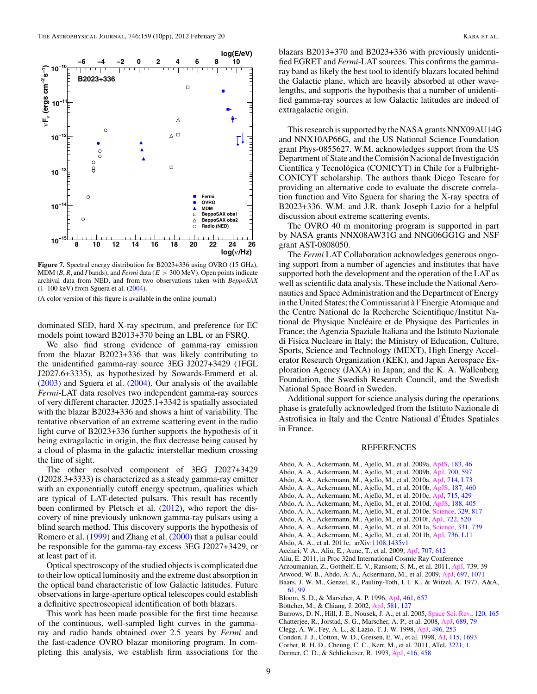<span id="page-8-0"></span>

**Figure 7.** Spectral energy distribution for B2023+336 using OVRO (15 GHz), MDM (*B*, *R*, and *I* bands), and *Fermi* data (*E >* 300 MeV). Open points indicate archival data from NED, and from two observations taken with *BeppoSAX* (1–100 keV) from Sguera et al. [\(2004\)](#page-9-0).

(A color version of this figure is available in the online journal.)

dominated SED, hard X-ray spectrum, and preference for EC models point toward B2013+370 being an LBL or an FSRQ.

We also find strong evidence of gamma-ray emission from the blazar B2023+336 that was likely contributing to the unidentified gamma-ray source 3EG J2027+3429 (1FGL J2027.6+3335), as hypothesized by Sowards-Emmerd et al. [\(2003\)](#page-9-0) and Sguera et al. [\(2004\)](#page-9-0). Our analysis of the available *Fermi*-LAT data resolves two independent gamma-ray sources of very different character. J2025.1+3342 is spatially associated with the blazar B2023+336 and shows a hint of variability. The tentative observation of an extreme scattering event in the radio light curve of B2023+336 further supports the hypothesis of it being extragalactic in origin, the flux decrease being caused by a cloud of plasma in the galactic interstellar medium crossing the line of sight.

The other resolved component of 3EG J2027+3429 (J2028.3+3333) is characterized as a steady gamma-ray emitter with an exponentially cutoff energy spectrum, qualities which are typical of LAT-detected pulsars. This result has recently been confirmed by Pletsch et al. [\(2012\)](#page-9-0), who report the discovery of nine previously unknown gamma-ray pulsars using a blind search method. This discovery supports the hypothesis of Romero et al. [\(1999\)](#page-9-0) and Zhang et al. [\(2000\)](#page-9-0) that a pulsar could be responsible for the gamma-ray excess 3EG J2027+3429, or at least part of it.

Optical spectroscopy of the studied objects is complicated due to their low optical luminosity and the extreme dust absorption in the optical band characteristic of low Galactic latitudes. Future observations in large-aperture optical telescopes could establish a definitive spectroscopical identification of both blazars.

This work has been made possible for the first time because of the continuous, well-sampled light curves in the gammaray and radio bands obtained over 2.5 years by *Fermi* and the fast-cadence OVRO blazar monitoring program. In completing this analysis, we establish firm associations for the blazars B2013+370 and B2023+336 with previously unidentified EGRET and *Fermi*-LAT sources. This confirms the gammaray band as likely the best tool to identify blazars located behind the Galactic plane, which are heavily absorbed at other wavelengths, and supports the hypothesis that a number of unidentified gamma-ray sources at low Galactic latitudes are indeed of extragalactic origin.

This research is supported by the NASA grants NNX09AU14G and NNX10AP66G, and the US National Science Foundation grant Phys-0855627. W.M. acknowledges support from the US Department of State and the Comisión Nacional de Investigación Científica y Tecnológica (CONICYT) in Chile for a Fulbright-CONICYT scholarship. The authors thank Diego Tescaro for providing an alternative code to evaluate the discrete correlation function and Vito Sguera for sharing the X-ray spectra of B2023+336. W.M. and J.R. thank Joseph Lazio for a helpful discussion about extreme scattering events.

The OVRO 40 m monitoring program is supported in part by NASA grants NNX08AW31G and NNG06GG1G and NSF grant AST-0808050.

The *Fermi* LAT Collaboration acknowledges generous ongoing support from a number of agencies and institutes that have supported both the development and the operation of the LAT as well as scientific data analysis. These include the National Aeronautics and Space Administration and the Department of Energy in the United States; the Commissariat à l'Energie Atomique and the Centre National de la Recherche Scientifique*/*Institut National de Physique Nucléaire et de Physique des Particules in France; the Agenzia Spaziale Italiana and the Istituto Nazionale di Fisica Nucleare in Italy; the Ministry of Education, Culture, Sports, Science and Technology (MEXT), High Energy Accelerator Research Organization (KEK), and Japan Aerospace Exploration Agency (JAXA) in Japan; and the K. A. Wallenberg Foundation, the Swedish Research Council, and the Swedish National Space Board in Sweden.

Additional support for science analysis during the operations phase is gratefully acknowledged from the Istituto Nazionale di Astrofisica in Italy and the Centre National d'Etudes Spatiales ´ in France.

## REFERENCES

- Abdo, A. A., Ackermann, M., Ajello, M., et al. 2009a, [ApJS,](http://dx.doi.org/10.1088/0067-0049/183/1/46) [183, 46](http://adsabs.harvard.edu/abs/2009ApJS..183...46A)
- Abdo, A. A., Ackermann, M., Ajello, M., et al. 2009b, [ApJ,](http://dx.doi.org/10.1088/0004-637X/700/1/597) [700, 597](http://adsabs.harvard.edu/abs/2009ApJ...700..597A)
- Abdo, A. A., Ackermann, M., Ajello, M., et al. 2010a, [ApJ,](http://dx.doi.org/10.1088/2041-8205/714/1/L73) [714, L73](http://adsabs.harvard.edu/abs/2010ApJ...714L..73A)
- Abdo, A. A., Ackermann, M., Ajello, M., et al. 2010b, [ApJS,](http://dx.doi.org/10.1088/0067-0049/187/2/460) [187, 460](http://adsabs.harvard.edu/abs/2010ApJS..187..460A)
- Abdo, A. A., Ackermann, M., Ajello, M., et al. 2010c, [ApJ,](http://dx.doi.org/10.1088/0004-637X/715/1/429) [715, 429](http://adsabs.harvard.edu/abs/2010ApJ...715..429A)
- Abdo, A. A., Ackermann, M., Ajello, M., et al. 2010d, [ApJS,](http://dx.doi.org/10.1088/0067-0049/188/2/405) [188, 405](http://adsabs.harvard.edu/abs/2010ApJS..188..405A) Abdo, A. A., Ackermann, M., Ajello, M., et al. 2010e, [Science,](http://dx.doi.org/10.1126/science.1192537) [329, 817](http://adsabs.harvard.edu/abs/2010Sci...329..817A)
- Abdo, A. A., Ackermann, M., Ajello, M., et al. 2010f, [ApJ,](http://dx.doi.org/10.1088/0004-637X/722/1/520) [722, 520](http://adsabs.harvard.edu/abs/2010ApJ...722..520A)
- Abdo, A. A., Ackermann, M., Ajello, M., et al. 2011a, [Science,](http://dx.doi.org/10.1126/science.1199705) [331, 739](http://adsabs.harvard.edu/abs/2011Sci...331..739A)
- Abdo, A. A., Ackermann, M., Ajello, M., et al. 2011b, [ApJ,](http://dx.doi.org/10.1088/2041-8205/736/1/L11) [736, L11](http://adsabs.harvard.edu/abs/2011ApJ...736L..11A)
- Abdo, A. A., et al. 2011c, arXiv[:1108.1435v1](http://www.arxiv.org/abs/1108.1435v1)
- Acciari, V. A., Aliu, E., Aune, T., et al. 2009, [ApJ,](http://dx.doi.org/10.1088/0004-637X/707/1/612) [707, 612](http://adsabs.harvard.edu/abs/2009ApJ...707..612A)
- Aliu, E. 2011, in Proc 32nd International Cosmic Ray Conference
- Arzoumanian, Z., Gotthelf, E. V., Ransom, S. M., et al. 2011, [ApJ,](http://dx.doi.org/10.1088/0004-637X/739/1/39) 739, 39
- Atwood, W. B., Abdo, A. A., Ackermann, M., et al. 2009, [ApJ,](http://dx.doi.org/10.1088/0004-637X/697/2/1071) [697, 1071](http://adsabs.harvard.edu/abs/2009ApJ...697.1071A)
- Baars, J. W. M., Genzel, R., Pauliny-Toth, I. I. K., & Witzel, A. 1977, A&A, [61, 99](http://adsabs.harvard.edu/abs/1977A&A....61...99B)
- Bloom, S. D., & Marscher, A. P. 1996, [ApJ,](http://dx.doi.org/10.1086/177092) [461, 657](http://adsabs.harvard.edu/abs/1996ApJ...461..657B)
- Böttcher, M., & Chiang, J. 2002, [ApJ,](http://dx.doi.org/10.1086/344155) [581, 127](http://adsabs.harvard.edu/abs/2002ApJ...581..127B)
- Burrows, D. N., Hill, J. E., Nousek, J. A., et al. 2005, [Space Sci. Rev.,](http://dx.doi.org/10.1007/s11214-005-5097-2) [120, 165](http://adsabs.harvard.edu/abs/2005SSRv..120..165B)
- Chatterjee, R., Jorstad, S. G., Marscher, A. P., et al. 2008, [ApJ,](http://dx.doi.org/10.1086/592598) [689, 79](http://adsabs.harvard.edu/abs/2008ApJ...689...79C)
- Clegg, A. W., Fey, A. L., & Lazio, T. J. W. 1998, [ApJ,](http://dx.doi.org/10.1086/305344) [496, 253](http://adsabs.harvard.edu/abs/1998ApJ...496..253C)
- Condon, J. J., Cotton, W. D., Greisen, E. W., et al. 1998, [AJ,](http://dx.doi.org/10.1086/300337) [115, 1693](http://adsabs.harvard.edu/abs/1998AJ....115.1693C) Corbet, R. H. D., Cheung, C. C., Kerr, M., et al. 2011, ATel, [3221, 1](http://adsabs.harvard.edu/abs/2011ATel.3221....1C)
- 
- Dermer, C. D., & Schlickeiser, R. 1993, [ApJ,](http://dx.doi.org/10.1086/173251) [416, 458](http://adsabs.harvard.edu/abs/1993ApJ...416..458D)